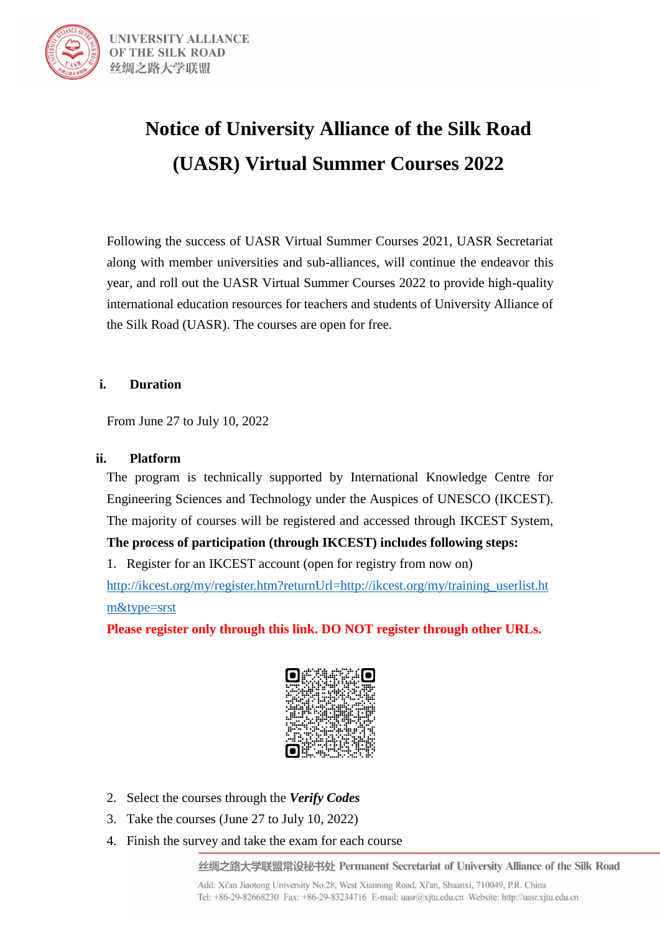

# **Notice of University Alliance of the Silk Road (UASR) Virtual Summer Courses 2022**

Following the success of UASR Virtual Summer Courses 2021, UASR Secretariat along with member universities and sub-alliances, will continue the endeavor this year, and roll out the UASR Virtual Summer Courses 2022 to provide high-quality international education resources for teachers and students of University Alliance of the Silk Road (UASR). The courses are open for free.

#### **i. Duration**

From June 27 to July 10, 2022

#### **ii. Platform**

The program is technically supported by International Knowledge Centre for Engineering Sciences and Technology under the Auspices of UNESCO (IKCEST). The majority of courses will be registered and accessed through IKCEST System,

**The process of participation (through IKCEST) includes following steps:**

1. Register for an IKCEST account (open for registry from now on)

[http://ikcest.org/my/register.htm?returnUrl=http://ikcest.org/my/training\\_userlist.ht](http://ikcest.org/my/register.htm?returnUrl=http://ikcest.org/my/training_userlist.htm&type=srst) [m&type=srst](http://ikcest.org/my/register.htm?returnUrl=http://ikcest.org/my/training_userlist.htm&type=srst)

**Please register only through this link. DO NOT register through other URLs.**



- 2. Select the courses through the *Verify Codes*
- 3. Take the courses (June 27 to July 10, 2022)
- 4. Finish the survey and take the exam for each course

丝绸之路大学联盟常设秘书处 Permanent Secretariat of University Alliance of the Silk Road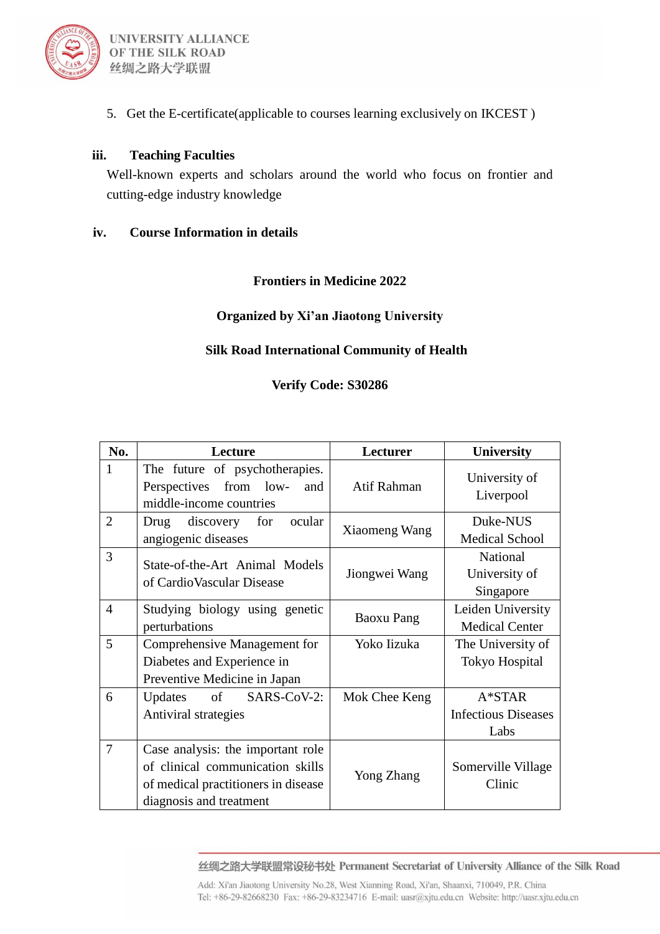

5. Get the E-certificate(applicable to courses learning exclusively on IKCEST )

#### **iii. Teaching Faculties**

Well-known experts and scholars around the world who focus on frontier and cutting-edge industry knowledge

#### **iv. Course Information in details**

#### **Frontiers in Medicine 2022**

#### **Organized by Xi'an Jiaotong University**

#### **Silk Road International Community of Health**

#### **Verify Code: S30286**

| No.            | Lecture                                                                                                                                 | Lecturer      | <b>University</b>                              |
|----------------|-----------------------------------------------------------------------------------------------------------------------------------------|---------------|------------------------------------------------|
| 1              | The future of psychotherapies.<br>from low-<br>Perspectives<br>and<br>middle-income countries                                           | Atif Rahman   | University of<br>Liverpool                     |
| $\overline{2}$ | discovery for<br>ocular<br>Drug<br>angiogenic diseases                                                                                  | Xiaomeng Wang | Duke-NUS<br><b>Medical School</b>              |
| 3              | State-of-the-Art Animal Models<br>of Cardio Vascular Disease                                                                            | Jiongwei Wang | <b>National</b><br>University of<br>Singapore  |
| $\overline{4}$ | Studying biology using genetic<br>perturbations                                                                                         | Baoxu Pang    | Leiden University<br><b>Medical Center</b>     |
| 5              | Comprehensive Management for<br>Diabetes and Experience in<br>Preventive Medicine in Japan                                              | Yoko Iizuka   | The University of<br><b>Tokyo Hospital</b>     |
| 6              | of SARS-CoV-2:<br>Updates<br>Antiviral strategies                                                                                       | Mok Chee Keng | $A*STAR$<br><b>Infectious Diseases</b><br>Labs |
| 7              | Case analysis: the important role<br>of clinical communication skills<br>of medical practitioners in disease<br>diagnosis and treatment | Yong Zhang    | Somerville Village<br>Clinic                   |

丝绸之路大学联盟常设秘书处 Permanent Secretariat of University Alliance of the Silk Road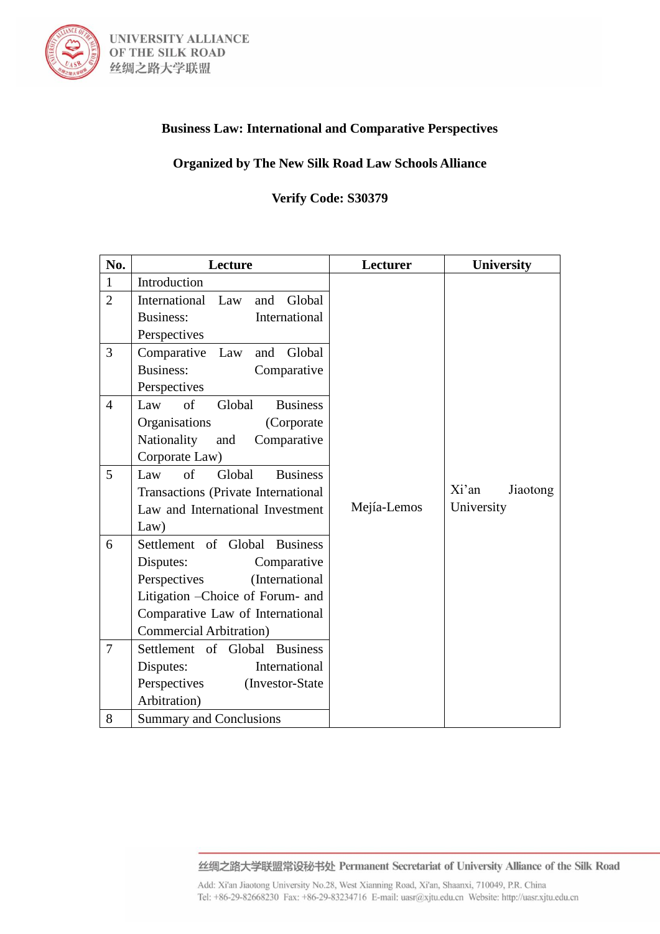

# **Business Law: International and Comparative Perspectives**

#### **Organized by The New Silk Road Law Schools Alliance**

#### **Verify Code: S30379**

| No.            | Lecture                                        | Lecturer    | <b>University</b> |
|----------------|------------------------------------------------|-------------|-------------------|
| $\mathbf{1}$   | Introduction                                   |             |                   |
| $\overline{2}$ | Global<br>International Law<br>and             |             |                   |
|                | <b>Business:</b><br>International              |             |                   |
|                | Perspectives                                   |             |                   |
| 3              | Global<br>Comparative<br>Law<br>and            |             |                   |
|                | Business:<br>Comparative                       |             |                   |
|                | Perspectives                                   |             |                   |
| $\overline{4}$ | Law<br>$\sigma$ f<br><b>Business</b><br>Global |             |                   |
|                | Organisations<br>(Corporate)                   |             |                   |
|                | Nationality<br>Comparative<br>and              |             |                   |
|                | Corporate Law)                                 |             |                   |
| 5              | $\sigma$ f<br>Global<br><b>Business</b><br>Law |             |                   |
|                | Transactions (Private International            |             | Xi'an<br>Jiaotong |
|                | Law and International Investment               | Mejía-Lemos | University        |
|                | Law)                                           |             |                   |
| 6              | Settlement of Global Business                  |             |                   |
|                | Disputes:<br>Comparative                       |             |                   |
|                | Perspectives<br>(International                 |             |                   |
|                | Litigation - Choice of Forum- and              |             |                   |
|                | Comparative Law of International               |             |                   |
|                | <b>Commercial Arbitration</b> )                |             |                   |
| $\overline{7}$ | Settlement of Global Business                  |             |                   |
|                | International<br>Disputes:                     |             |                   |
|                | Perspectives<br>(Investor-State                |             |                   |
|                | Arbitration)                                   |             |                   |
| 8              | <b>Summary and Conclusions</b>                 |             |                   |

丝绸之路大学联盟常设秘书处 Permanent Secretariat of University Alliance of the Silk Road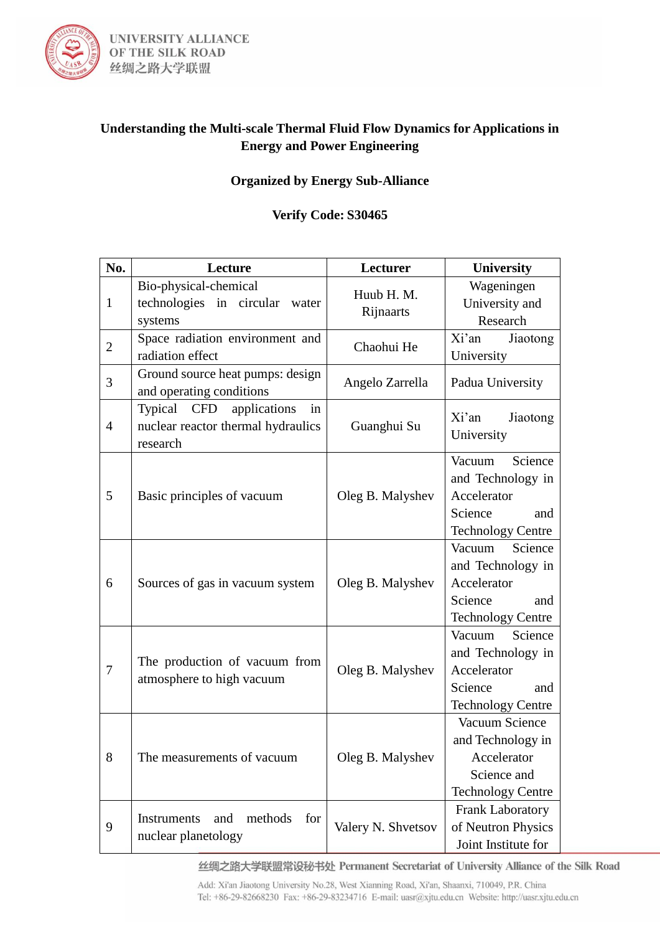

# **Understanding the Multi-scale Thermal Fluid Flow Dynamics for Applications in Energy and Power Engineering**

## **Organized by Energy Sub-Alliance**

#### **Verify Code: S30465**

| No.            | Lecture                                                                             | Lecturer                | University                                                                                          |
|----------------|-------------------------------------------------------------------------------------|-------------------------|-----------------------------------------------------------------------------------------------------|
| $\mathbf{1}$   | Bio-physical-chemical<br>technologies in circular<br>water<br>systems               | Huub H. M.<br>Rijnaarts | Wageningen<br>University and<br>Research                                                            |
| $\overline{2}$ | Space radiation environment and<br>radiation effect                                 | Chaohui He              | Xi'an<br>Jiaotong<br>University                                                                     |
| 3              | Ground source heat pumps: design<br>and operating conditions                        | Angelo Zarrella         | Padua University                                                                                    |
| $\overline{4}$ | Typical CFD<br>applications<br>in<br>nuclear reactor thermal hydraulics<br>research | Guanghui Su             | Xi'an<br>Jiaotong<br>University                                                                     |
| 5              | Basic principles of vacuum                                                          | Oleg B. Malyshev        | Science<br>Vacuum<br>and Technology in<br>Accelerator<br>Science<br>and<br><b>Technology Centre</b> |
| 6              | Sources of gas in vacuum system                                                     | Oleg B. Malyshev        | Science<br>Vacuum<br>and Technology in<br>Accelerator<br>Science<br>and<br><b>Technology Centre</b> |
| 7              | The production of vacuum from<br>atmosphere to high vacuum                          | Oleg B. Malyshev        | Science<br>Vacuum<br>and Technology in<br>Accelerator<br>Science<br>and<br><b>Technology Centre</b> |
| 8              | The measurements of vacuum                                                          | Oleg B. Malyshev        | Vacuum Science<br>and Technology in<br>Accelerator<br>Science and<br><b>Technology Centre</b>       |
| 9              | methods<br><b>Instruments</b><br>and<br>for<br>nuclear planetology                  | Valery N. Shvetsov      | Frank Laboratory<br>of Neutron Physics<br>Joint Institute for                                       |

丝绸之路大学联盟常设秘书处 Permanent Secretariat of University Alliance of the Silk Road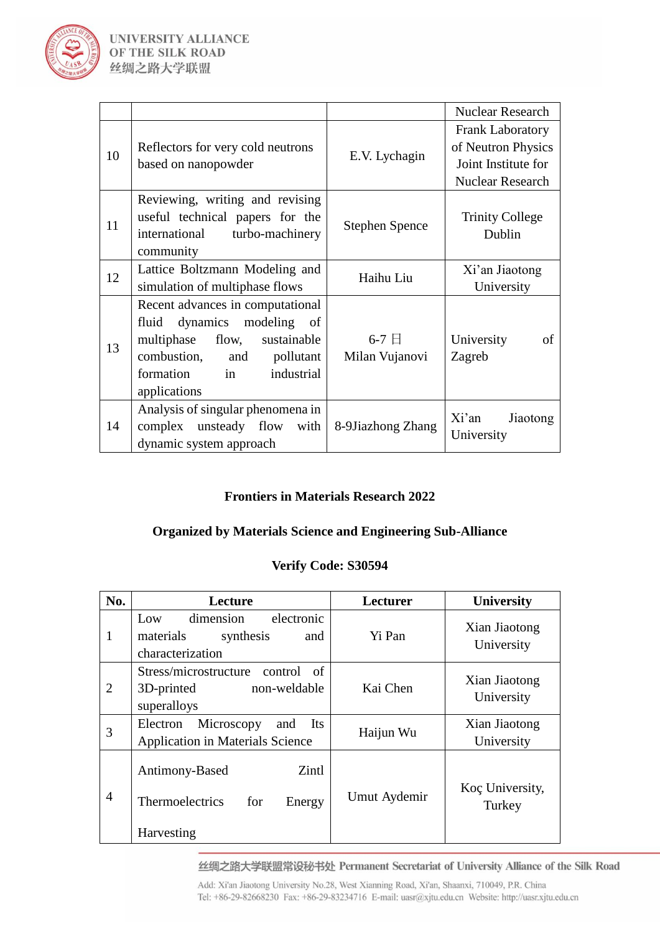

|    |                                                                                                                                                                                          |                              | <b>Nuclear Research</b>                                                                         |
|----|------------------------------------------------------------------------------------------------------------------------------------------------------------------------------------------|------------------------------|-------------------------------------------------------------------------------------------------|
| 10 | Reflectors for very cold neutrons<br>based on nanopowder                                                                                                                                 | E.V. Lychagin                | <b>Frank Laboratory</b><br>of Neutron Physics<br>Joint Institute for<br><b>Nuclear Research</b> |
| 11 | Reviewing, writing and revising<br>useful technical papers for the<br>international<br>turbo-machinery<br>community                                                                      | <b>Stephen Spence</b>        | <b>Trinity College</b><br>Dublin                                                                |
| 12 | Lattice Boltzmann Modeling and<br>simulation of multiphase flows                                                                                                                         | Haihu Liu                    | Xi'an Jiaotong<br>University                                                                    |
| 13 | Recent advances in computational<br>dynamics modeling of<br>fluid<br>multiphase<br>flow,<br>sustainable<br>combustion, and<br>pollutant<br>in<br>formation<br>industrial<br>applications | $6-7 \Box$<br>Milan Vujanovi | University<br>of<br>Zagreb                                                                      |
| 14 | Analysis of singular phenomena in<br>complex unsteady flow<br>with<br>dynamic system approach                                                                                            | 8-9Jiazhong Zhang            | Xi'an<br>Jiaotong<br>University                                                                 |

## **Frontiers in Materials Research 2022**

# **Organized by Materials Science and Engineering Sub-Alliance**

#### **Verify Code: S30594**

| No.            | Lecture                                                                                | Lecturer     | <b>University</b>           |
|----------------|----------------------------------------------------------------------------------------|--------------|-----------------------------|
|                | dimension<br>electronic<br>Low<br>materials<br>synthesis<br>and<br>characterization    | Yi Pan       | Xian Jiaotong<br>University |
| $\overline{2}$ | Stress/microstructure<br>control<br>of<br>non-weldable<br>3D-printed<br>superalloys    | Kai Chen     | Xian Jiaotong<br>University |
| 3              | Microscopy<br><b>Its</b><br>Electron<br>and<br><b>Application in Materials Science</b> | Haijun Wu    | Xian Jiaotong<br>University |
| $\overline{A}$ | Zintl<br>Antimony-Based<br><b>Thermoelectrics</b><br>for<br>Energy<br>Harvesting       | Umut Aydemir | Koç University,<br>Turkey   |

丝绸之路大学联盟常设秘书处 Permanent Secretariat of University Alliance of the Silk Road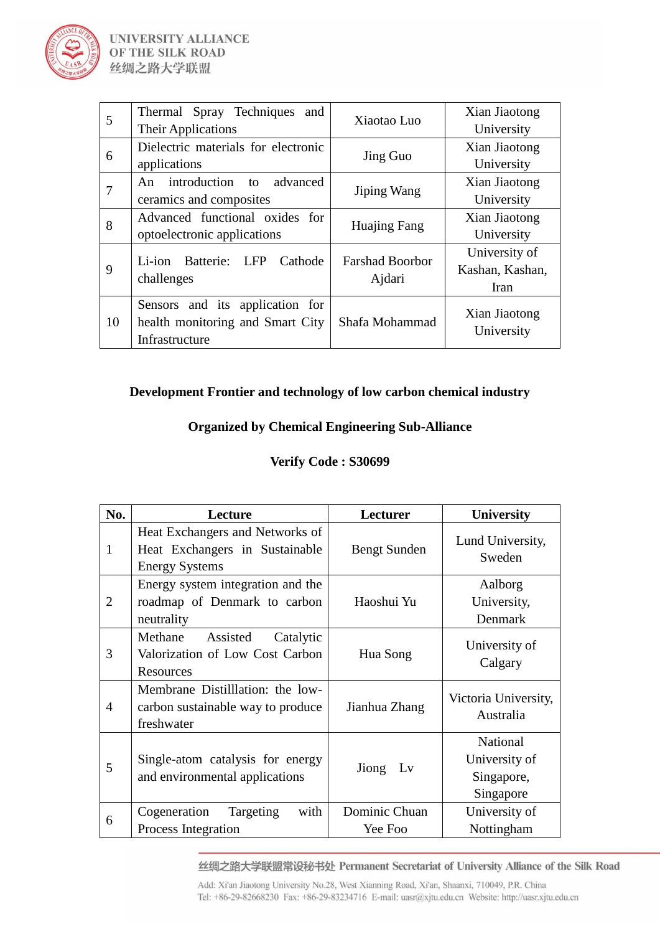

| 5  | Thermal Spray Techniques<br>and               | Xiaotao Luo                      | Xian Jiaotong   |
|----|-----------------------------------------------|----------------------------------|-----------------|
|    | <b>Their Applications</b>                     |                                  | University      |
| 6  | Dielectric materials for electronic           | Jing Guo                         | Xian Jiaotong   |
|    | applications                                  |                                  | University      |
| 7  | An introduction<br>advanced<br>$\overline{f}$ |                                  | Xian Jiaotong   |
|    | ceramics and composites                       | Jiping Wang                      | University      |
|    | Advanced functional oxides for                |                                  | Xian Jiaotong   |
| 8  | optoelectronic applications                   | Huajing Fang                     | University      |
|    |                                               | <b>Farshad Boorbor</b><br>Ajdari | University of   |
| 9  | Batterie:<br><b>LFP</b><br>Cathode<br>Li-ion  |                                  | Kashan, Kashan, |
|    | challenges                                    |                                  | Iran            |
|    | Sensors and its application for               |                                  |                 |
| 10 | health monitoring and Smart City              | Shafa Mohammad                   | Xian Jiaotong   |
|    | Infrastructure                                |                                  | University      |

#### **Development Frontier and technology of low carbon chemical industry**

#### **Organized by Chemical Engineering Sub-Alliance**

#### **Verify Code : S30699**

| No. | <b>Lecture</b>                                                                             | Lecturer                 | <b>University</b>                                    |
|-----|--------------------------------------------------------------------------------------------|--------------------------|------------------------------------------------------|
| 1   | Heat Exchangers and Networks of<br>Heat Exchangers in Sustainable<br><b>Energy Systems</b> | Bengt Sunden             | Lund University,<br>Sweden                           |
| 2   | Energy system integration and the<br>roadmap of Denmark to carbon<br>neutrality            | Haoshui Yu               | Aalborg<br>University,<br>Denmark                    |
| 3   | Methane<br>Assisted<br>Catalytic<br>Valorization of Low Cost Carbon<br><b>Resources</b>    | Hua Song                 | University of<br>Calgary                             |
| 4   | Membrane Distilllation: the low-<br>carbon sustainable way to produce<br>freshwater        | Jianhua Zhang            | Victoria University,<br>Australia                    |
| 5   | Single-atom catalysis for energy<br>and environmental applications                         | Jiong Ly                 | National<br>University of<br>Singapore,<br>Singapore |
| 6   | Cogeneration<br>Targeting<br>with<br>Process Integration                                   | Dominic Chuan<br>Yee Foo | University of<br>Nottingham                          |

丝绸之路大学联盟常设秘书处 Permanent Secretariat of University Alliance of the Silk Road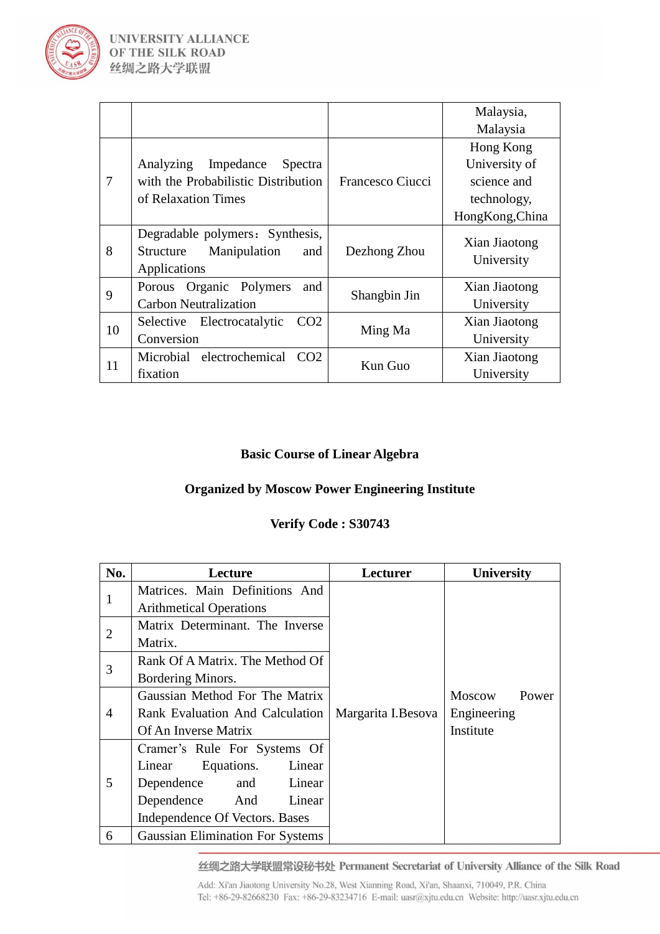

|    |                                                  |                         | Malaysia,       |
|----|--------------------------------------------------|-------------------------|-----------------|
|    |                                                  |                         | Malaysia        |
|    |                                                  |                         | Hong Kong       |
|    | Analyzing<br>Impedance<br>Spectra                |                         | University of   |
| 7  | with the Probabilistic Distribution              | Francesco Ciucci        | science and     |
|    | of Relaxation Times                              |                         | technology,     |
|    |                                                  |                         | HongKong, China |
|    | Degradable polymers: Synthesis,                  | Dezhong Zhou<br>and     | Xian Jiaotong   |
| 8  | Manipulation<br>Structure<br>Applications        |                         | University      |
| 9  | Organic Polymers<br>Porous<br>and                |                         | Xian Jiaotong   |
|    | <b>Carbon Neutralization</b>                     | Shangbin Jin<br>Ming Ma | University      |
| 10 | Electrocatalytic<br>CO <sub>2</sub><br>Selective |                         | Xian Jiaotong   |
|    | Conversion                                       |                         | University      |
| 11 | Microbial electrochemical<br>CO <sub>2</sub>     | Kun Guo                 | Xian Jiaotong   |
|    | fixation                                         |                         | University      |

#### **Basic Course of Linear Algebra**

#### **Organized by Moscow Power Engineering Institute**

#### **Verify Code : S30743**

| No.            | Lecture                                 | Lecturer           | <b>University</b>                                  |
|----------------|-----------------------------------------|--------------------|----------------------------------------------------|
| 1              | Matrices. Main Definitions And          |                    |                                                    |
|                | <b>Arithmetical Operations</b>          |                    |                                                    |
| $\overline{2}$ | Matrix Determinant. The Inverse         |                    |                                                    |
|                | Matrix.                                 |                    |                                                    |
| 3              | Rank Of A Matrix. The Method Of         |                    |                                                    |
|                | Bordering Minors.                       |                    |                                                    |
|                | Gaussian Method For The Matrix          | Margarita I.Besova | <b>Moscow</b><br>Power<br>Engineering<br>Institute |
| $\overline{A}$ | Rank Evaluation And Calculation         |                    |                                                    |
|                | Of An Inverse Matrix                    |                    |                                                    |
|                | Cramer's Rule For Systems Of            |                    |                                                    |
|                | Linear Equations. Linear                |                    |                                                    |
| 5              | Dependence<br>and Linear                |                    |                                                    |
|                | Dependence And<br>Linear                |                    |                                                    |
|                | Independence Of Vectors. Bases          |                    |                                                    |
| 6              | <b>Gaussian Elimination For Systems</b> |                    |                                                    |

丝绸之路大学联盟常设秘书处 Permanent Secretariat of University Alliance of the Silk Road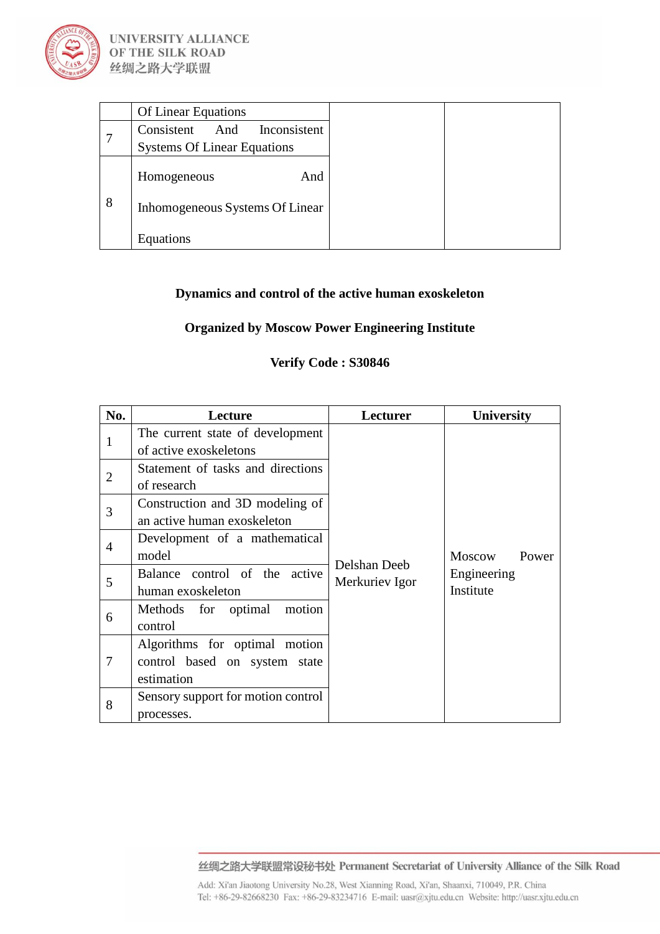

|   | <b>Of Linear Equations</b>         |
|---|------------------------------------|
|   | Consistent<br>And<br>Inconsistent  |
|   | <b>Systems Of Linear Equations</b> |
|   | And<br>Homogeneous                 |
| 8 | Inhomogeneous Systems Of Linear    |
|   | Equations                          |

## **Dynamics and control of the active human exoskeleton**

#### **Organized by Moscow Power Engineering Institute**

## **Verify Code : S30846**

| No.            | Lecture                                                                      | Lecturer       | <b>University</b>        |
|----------------|------------------------------------------------------------------------------|----------------|--------------------------|
| 1              | The current state of development<br>of active exoskeletons                   | Delshan Deeb   | Moscow<br>Power          |
| $\overline{2}$ | Statement of tasks and directions<br>of research                             |                |                          |
| 3              | Construction and 3D modeling of<br>an active human exoskeleton               |                |                          |
| $\overline{4}$ | Development of a mathematical<br>model                                       |                |                          |
| 5              | Balance control of the active<br>human exoskeleton                           | Merkuriev Igor | Engineering<br>Institute |
| 6              | Methods for optimal motion<br>control                                        |                |                          |
| 7              | Algorithms for optimal motion<br>control based on system state<br>estimation |                |                          |
| 8              | Sensory support for motion control<br>processes.                             |                |                          |

丝绸之路大学联盟常设秘书处 Permanent Secretariat of University Alliance of the Silk Road